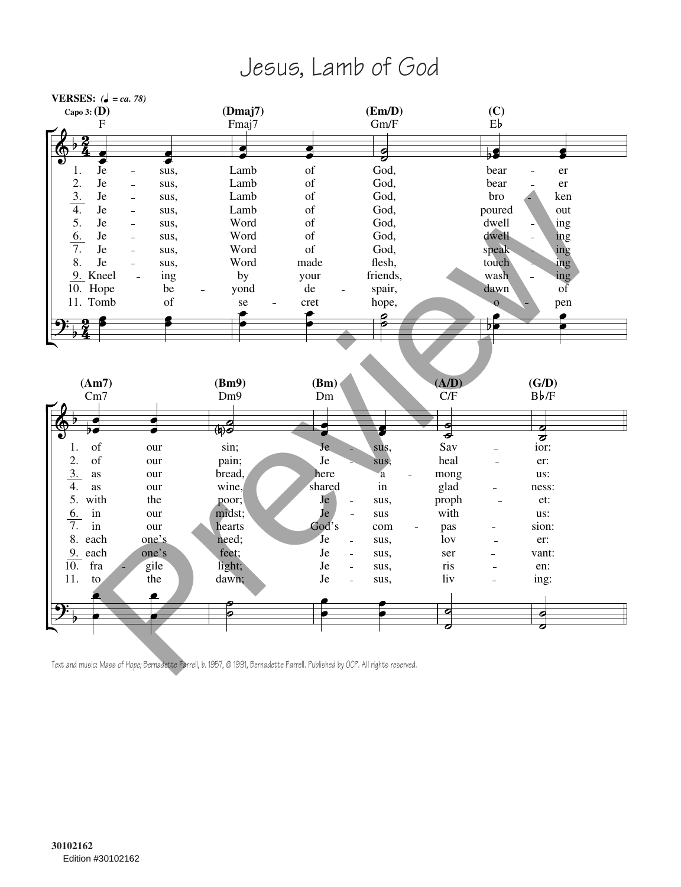## Jesus, Lamb of God



Text and music: *Mass of Hope;* Bernadette Farrell, b. 1957, © 1991, Bernadette Farrell. Published by OCP. All rights reserved.